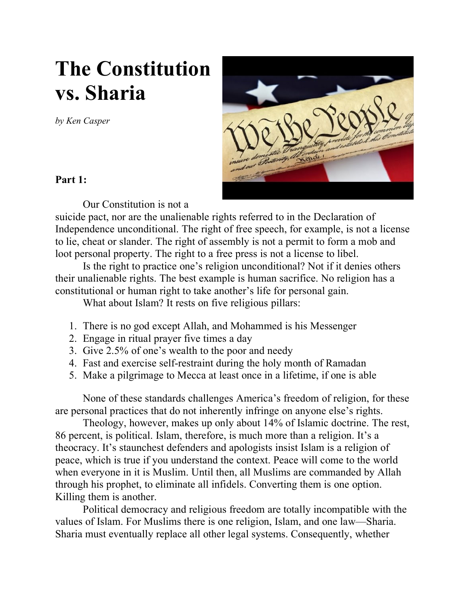## **The Constitution vs. Sharia**

*by Ken Casper*



## **Part 1:**

Our Constitution is not a

suicide pact, nor are the unalienable rights referred to in the Declaration of Independence unconditional. The right of free speech, for example, is not a license to lie, cheat or slander. The right of assembly is not a permit to form a mob and loot personal property. The right to a free press is not a license to libel.

Is the right to practice one's religion unconditional? Not if it denies others their unalienable rights. The best example is human sacrifice. No religion has a constitutional or human right to take another's life for personal gain.

What about Islam? It rests on five religious pillars:

- 1. There is no god except Allah, and Mohammed is his Messenger
- 2. Engage in ritual prayer five times a day
- 3. Give 2.5% of one's wealth to the poor and needy
- 4. Fast and exercise self-restraint during the holy month of Ramadan
- 5. Make a pilgrimage to Mecca at least once in a lifetime, if one is able

None of these standards challenges America's freedom of religion, for these are personal practices that do not inherently infringe on anyone else's rights.

Theology, however, makes up only about 14% of Islamic doctrine. The rest, 86 percent, is political. Islam, therefore, is much more than a religion. It's a theocracy. It's staunchest defenders and apologists insist Islam is a religion of peace, which is true if you understand the context. Peace will come to the world when everyone in it is Muslim. Until then, all Muslims are commanded by Allah through his prophet, to eliminate all infidels. Converting them is one option. Killing them is another.

Political democracy and religious freedom are totally incompatible with the values of Islam. For Muslims there is one religion, Islam, and one law—Sharia. Sharia must eventually replace all other legal systems. Consequently, whether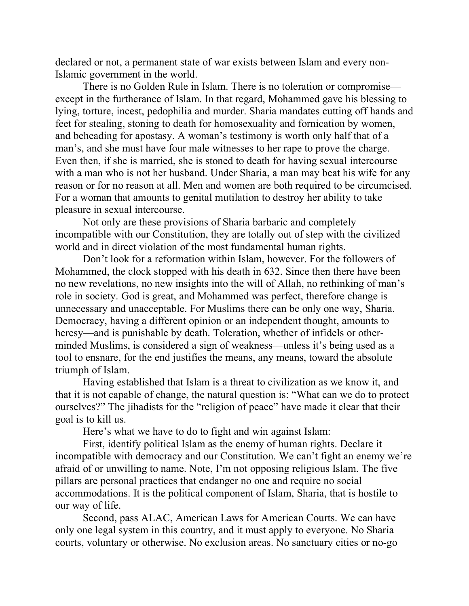declared or not, a permanent state of war exists between Islam and every non-Islamic government in the world.

There is no Golden Rule in Islam. There is no toleration or compromise except in the furtherance of Islam. In that regard, Mohammed gave his blessing to lying, torture, incest, pedophilia and murder. Sharia mandates cutting off hands and feet for stealing, stoning to death for homosexuality and fornication by women, and beheading for apostasy. A woman's testimony is worth only half that of a man's, and she must have four male witnesses to her rape to prove the charge. Even then, if she is married, she is stoned to death for having sexual intercourse with a man who is not her husband. Under Sharia, a man may beat his wife for any reason or for no reason at all. Men and women are both required to be circumcised. For a woman that amounts to genital mutilation to destroy her ability to take pleasure in sexual intercourse.

Not only are these provisions of Sharia barbaric and completely incompatible with our Constitution, they are totally out of step with the civilized world and in direct violation of the most fundamental human rights.

Don't look for a reformation within Islam, however. For the followers of Mohammed, the clock stopped with his death in 632. Since then there have been no new revelations, no new insights into the will of Allah, no rethinking of man's role in society. God is great, and Mohammed was perfect, therefore change is unnecessary and unacceptable. For Muslims there can be only one way, Sharia. Democracy, having a different opinion or an independent thought, amounts to heresy—and is punishable by death. Toleration, whether of infidels or otherminded Muslims, is considered a sign of weakness—unless it's being used as a tool to ensnare, for the end justifies the means, any means, toward the absolute triumph of Islam.

Having established that Islam is a threat to civilization as we know it, and that it is not capable of change, the natural question is: "What can we do to protect ourselves?" The jihadists for the "religion of peace" have made it clear that their goal is to kill us.

Here's what we have to do to fight and win against Islam:

First, identify political Islam as the enemy of human rights. Declare it incompatible with democracy and our Constitution. We can't fight an enemy we're afraid of or unwilling to name. Note, I'm not opposing religious Islam. The five pillars are personal practices that endanger no one and require no social accommodations. It is the political component of Islam, Sharia, that is hostile to our way of life.

Second, pass ALAC, American Laws for American Courts. We can have only one legal system in this country, and it must apply to everyone. No Sharia courts, voluntary or otherwise. No exclusion areas. No sanctuary cities or no-go